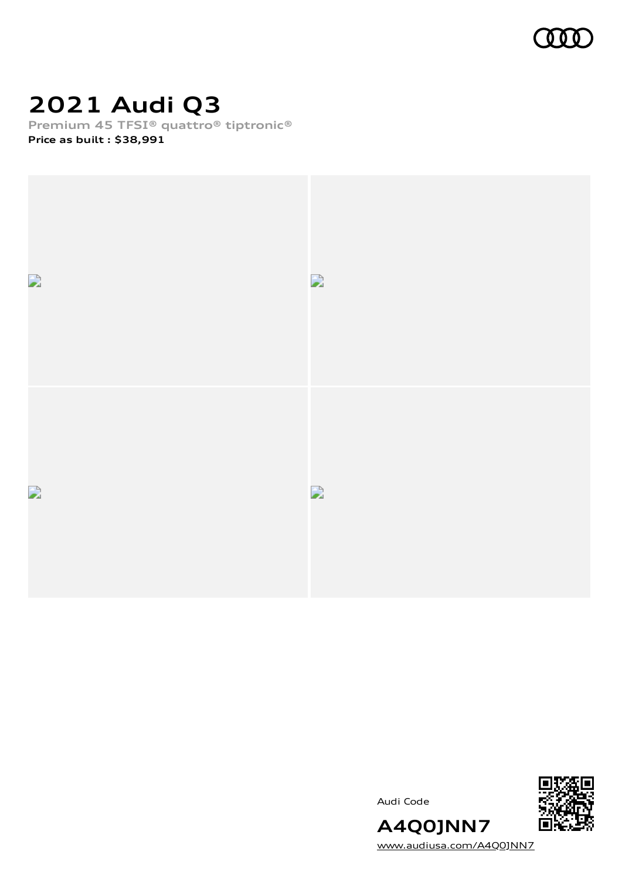

# **2021 Audi Q3**

**Premium 45 TFSI® quattro® tiptronic®**

**Price as built [:](#page-10-0) \$38,991**







**A4Q0JNN7** [www.audiusa.com/A4Q0JNN7](https://www.audiusa.com/A4Q0JNN7)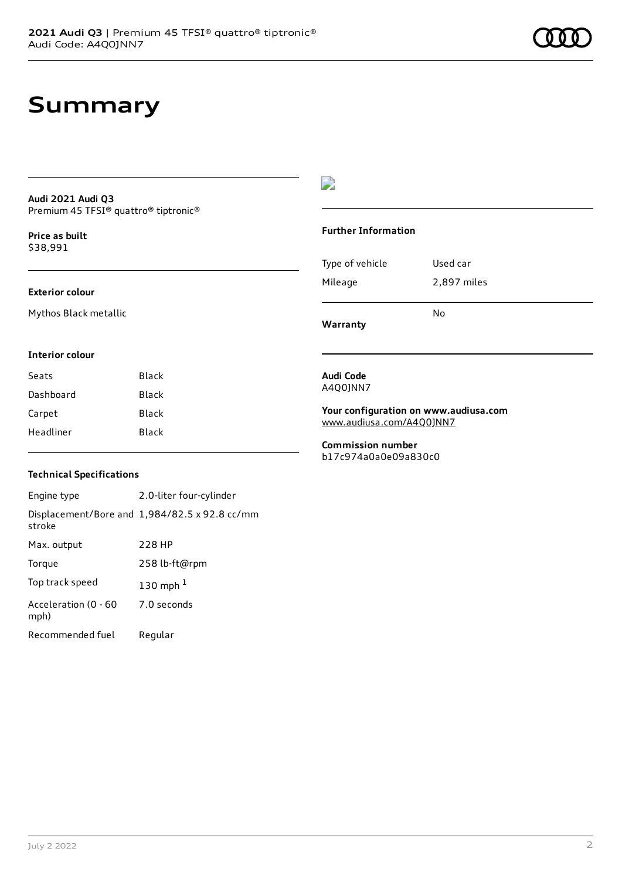# **Summary**

### **Audi 2021 Audi Q3** Premium 45 TFSI® quattro® tiptronic®

**Price as buil[t](#page-10-0)** \$38,991

### **Exterior colour**

Mythos Black metallic

### D

### **Further Information**

Type of vehicle Used car Mileage 2,897 miles No

**Warranty**

#### **Interior colour**

| Seats     | Black |
|-----------|-------|
| Dashboard | Black |
| Carpet    | Black |
| Headliner | Black |

### A4Q0JNN7

**Audi Code**

**Your configuration on www.audiusa.com** [www.audiusa.com/A4Q0JNN7](https://www.audiusa.com/A4Q0JNN7)

**Commission number** b17c974a0a0e09a830c0

### **Technical Specifications**

Engine type 2.0-liter four-cylinder Displacement/Bore and 1,984/82.5 x 92.8 cc/mm stroke Max. output 228 HP Torque 258 lb-ft@rpm Top track speed [1](#page-10-0)30 mph $<sup>1</sup>$ </sup> Acceleration (0 - 60 mph) 7.0 seconds Recommended fuel Regular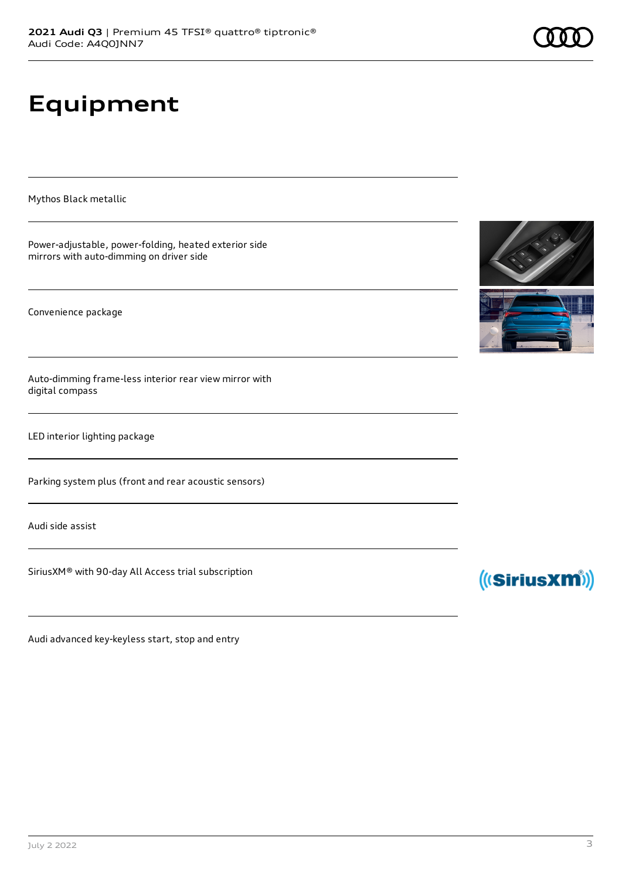# **Equipment**

Mythos Black metallic

Power-adjustable, power-folding, heated exterior side mirrors with auto-dimming on driver side

Convenience package

Auto-dimming frame-less interior rear view mirror with digital compass

LED interior lighting package

Parking system plus (front and rear acoustic sensors)

Audi side assist

SiriusXM® with 90-day All Access trial subscription

Audi advanced key-keyless start, stop and entry





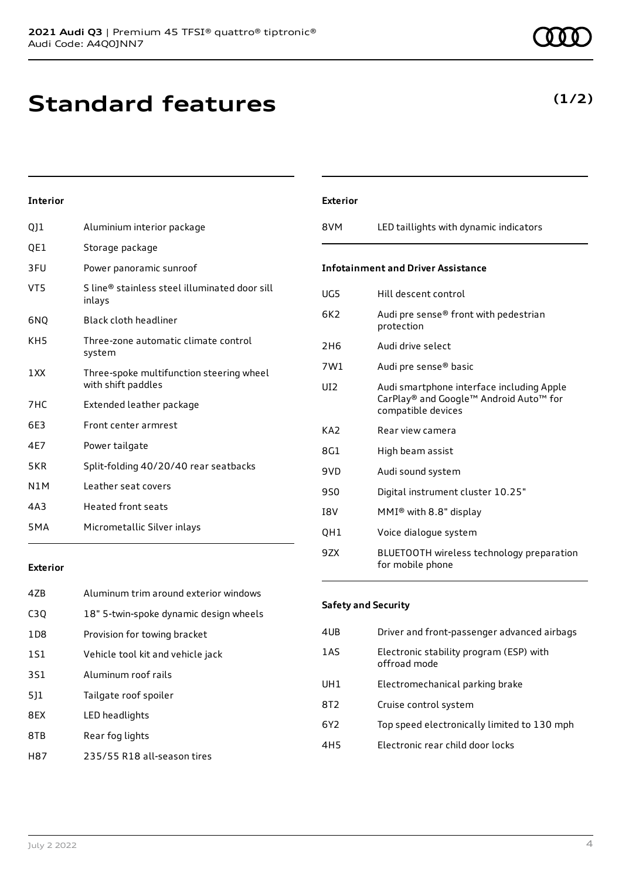# **Standard features**

VT5 S line® stainless steel illuminated door sill

KH5 Three-zone automatic climate control

with shift paddles

7HC Extended leather package

6E3 Front center armrest

N1M Leather seat covers 4A3 Heated front seats

5MA Micrometallic Silver inlays

4E7 Power tailgate

1XX Three-spoke multifunction steering wheel

5KR Split-folding 40/20/40 rear seatbacks

QJ1 Aluminium interior package

3FU Power panoramic sunroof

QE1 Storage package

inlays 6NQ Black cloth headliner

system

**Interior**

| 47 <sub>B</sub>  | Aluminum trim around exterior windows  |
|------------------|----------------------------------------|
| C <sub>3</sub> Q | 18" 5-twin-spoke dynamic design wheels |
| 1D <sub>8</sub>  | Provision for towing bracket           |
| 1S1              | Vehicle tool kit and vehicle jack      |
| 3S1              | Aluminum roof rails                    |
| 5]1              | Tailgate roof spoiler                  |
| 8EX              | LED headlights                         |
| 8TB              | Rear fog lights                        |
| H87              | 235/55 R18 all-season tires            |

| <b>Exterior</b> |                                                                                                           |
|-----------------|-----------------------------------------------------------------------------------------------------------|
| 8VM             | LED taillights with dynamic indicators                                                                    |
|                 | <b>Infotainment and Driver Assistance</b>                                                                 |
| UG5             | Hill descent control                                                                                      |
| 6K2             | Audi pre sense® front with pedestrian<br>protection                                                       |
| 2H <sub>6</sub> | Audi drive select                                                                                         |
| 7W1             | Audi pre sense® basic                                                                                     |
| UI2             | Audi smartphone interface including Apple<br>CarPlay® and Google™ Android Auto™ for<br>compatible devices |
| KA <sub>2</sub> | Rear view camera                                                                                          |
| 8G1             | High beam assist                                                                                          |
| 9VD             | Audi sound system                                                                                         |
| <b>9SO</b>      | Digital instrument cluster 10.25"                                                                         |
| <b>TRV</b>      | MMI <sup>®</sup> with 8.8" display                                                                        |
| QH1             | Voice dialogue system                                                                                     |
| 9ZX             | BLUETOOTH wireless technology preparation<br>for mobile phone                                             |

**Safety and Security**

| 4UB             | Driver and front-passenger advanced airbags             |
|-----------------|---------------------------------------------------------|
| 1AS             | Electronic stability program (ESP) with<br>offroad mode |
| UH <sub>1</sub> | Electromechanical parking brake                         |
| 8T2             | Cruise control system                                   |
| 6Y <sub>2</sub> | Top speed electronically limited to 130 mph             |
| 4H <sub>5</sub> | Electronic rear child door locks                        |
|                 |                                                         |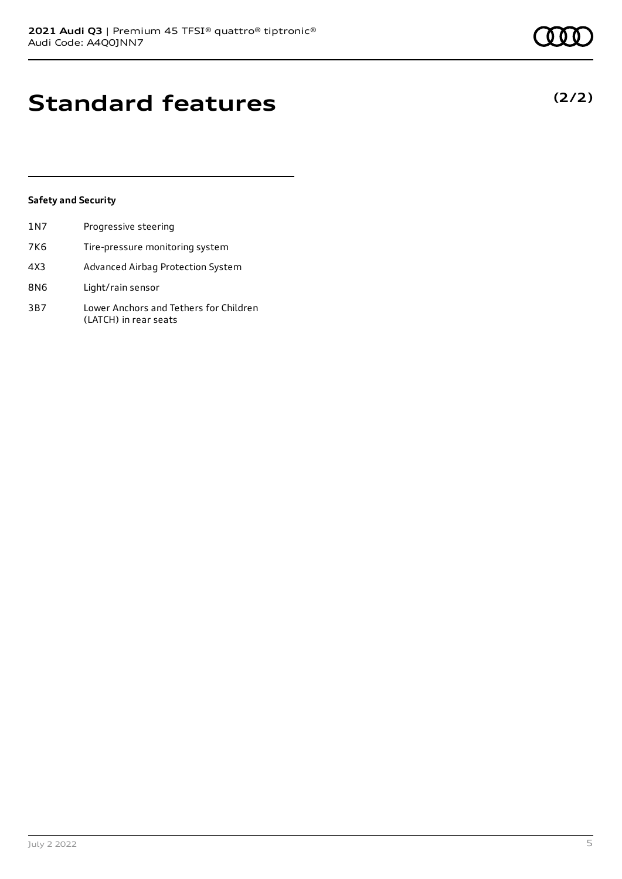# **Standard features**

### **Safety and Security**

| 1 <sub>N7</sub> | Progressive steering                                            |
|-----------------|-----------------------------------------------------------------|
| 7K6             | Tire-pressure monitoring system                                 |
| 4X3             | Advanced Airbag Protection System                               |
| 8N6             | Light/rain sensor                                               |
| 3B7             | Lower Anchors and Tethers for Children<br>(LATCH) in rear seats |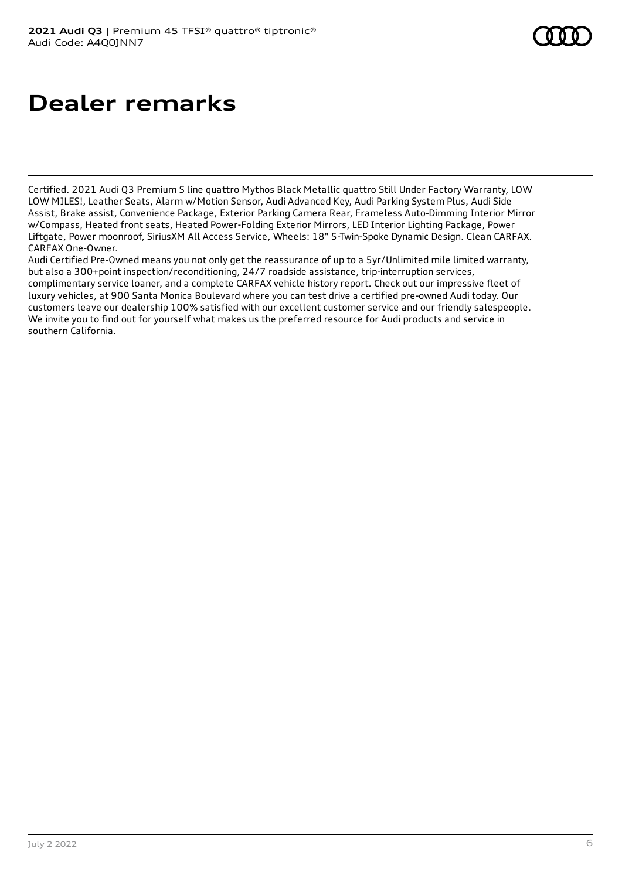# **Dealer remarks**

Certified. 2021 Audi Q3 Premium S line quattro Mythos Black Metallic quattro Still Under Factory Warranty, LOW LOW MILES!, Leather Seats, Alarm w/Motion Sensor, Audi Advanced Key, Audi Parking System Plus, Audi Side Assist, Brake assist, Convenience Package, Exterior Parking Camera Rear, Frameless Auto-Dimming Interior Mirror w/Compass, Heated front seats, Heated Power-Folding Exterior Mirrors, LED Interior Lighting Package, Power Liftgate, Power moonroof, SiriusXM All Access Service, Wheels: 18" 5-Twin-Spoke Dynamic Design. Clean CARFAX. CARFAX One-Owner.

Audi Certified Pre-Owned means you not only get the reassurance of up to a 5yr/Unlimited mile limited warranty, but also a 300+point inspection/reconditioning, 24/7 roadside assistance, trip-interruption services, complimentary service loaner, and a complete CARFAX vehicle history report. Check out our impressive fleet of luxury vehicles, at 900 Santa Monica Boulevard where you can test drive a certified pre-owned Audi today. Our customers leave our dealership 100% satisfied with our excellent customer service and our friendly salespeople. We invite you to find out for yourself what makes us the preferred resource for Audi products and service in southern California.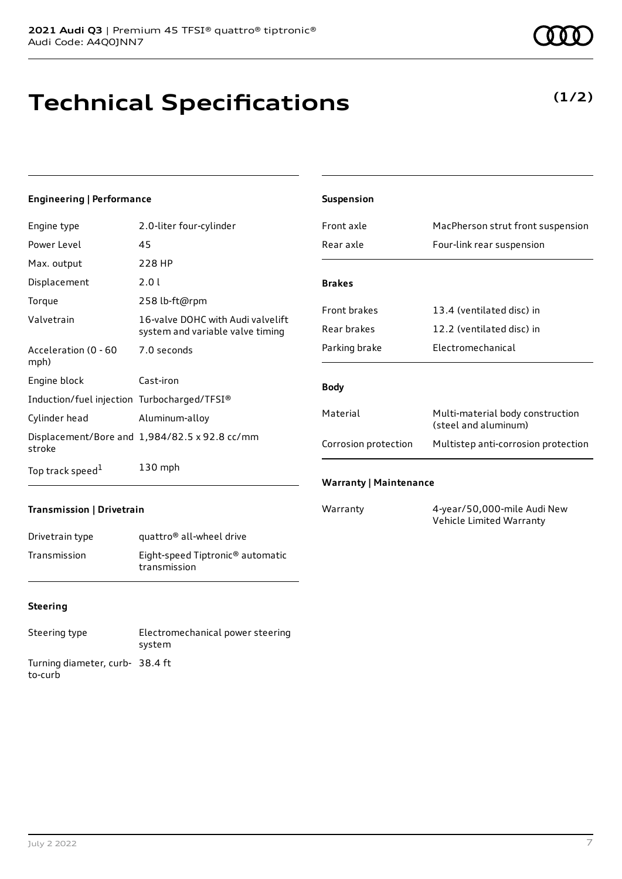# **Technical Specifications**

### **Engineering | Performance**

| Engine type                                 | 2.0-liter four-cylinder                                               |
|---------------------------------------------|-----------------------------------------------------------------------|
| Power Level                                 | 45                                                                    |
| Max. output                                 | 228 HP                                                                |
| Displacement                                | 2.0 L                                                                 |
| Torque                                      | 258 lb-ft@rpm                                                         |
| Valvetrain                                  | 16-valve DOHC with Audi valvelift<br>system and variable valve timing |
| Acceleration (0 - 60<br>mph)                | 7.0 seconds                                                           |
| Engine block                                | Cast-iron                                                             |
| Induction/fuel injection Turbocharged/TFSI® |                                                                       |
| Cylinder head                               | Aluminum-alloy                                                        |
| stroke                                      | Displacement/Bore and 1,984/82.5 x 92.8 cc/mm                         |
| Top track speed <sup>1</sup>                | $130$ mph                                                             |

| <b>Suspension</b>             |                                                          |  |
|-------------------------------|----------------------------------------------------------|--|
| Front axle                    | MacPherson strut front suspension                        |  |
| Rear axle                     | Four-link rear suspension                                |  |
|                               |                                                          |  |
| <b>Brakes</b>                 |                                                          |  |
| <b>Front brakes</b>           | 13.4 (ventilated disc) in                                |  |
| Rear brakes                   | 12.2 (ventilated disc) in                                |  |
| Parking brake                 | Flectromechanical                                        |  |
|                               |                                                          |  |
| <b>Body</b>                   |                                                          |  |
| Material                      | Multi-material body construction<br>(steel and aluminum) |  |
| Corrosion protection          | Multistep anti-corrosion protection                      |  |
|                               |                                                          |  |
| <b>Warranty   Maintenance</b> |                                                          |  |
| Warranty                      | 4-year/50,000-mile Audi New                              |  |

Vehicle Limited Warranty

### **Transmission | Drivetrain**

| Drivetrain type | quattro <sup>®</sup> all-wheel drive                         |
|-----------------|--------------------------------------------------------------|
| Transmission    | Eight-speed Tiptronic <sup>®</sup> automatic<br>transmission |

### **Steering**

| Steering type                             | Electromechanical power steering<br>system |
|-------------------------------------------|--------------------------------------------|
| Turning diameter, curb-38.4 ft<br>to-curb |                                            |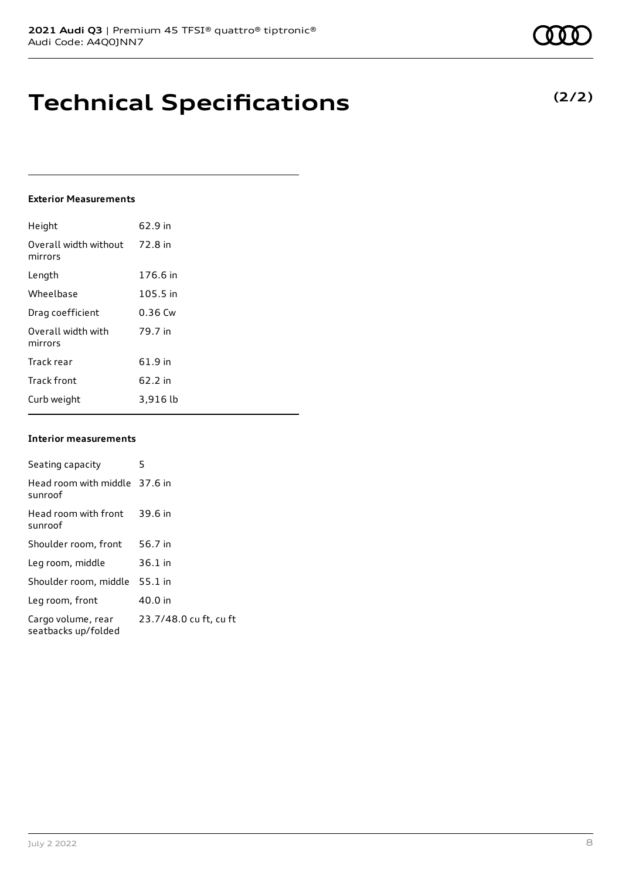# **Technical Specifications**

### **Exterior Measurements**

| Height                           | 62.9 in   |
|----------------------------------|-----------|
| Overall width without<br>mirrors | 72.8 in   |
| Length                           | 176.6 in  |
| Wheelbase                        | 105.5 in  |
| Drag coefficient                 | $0.36$ Cw |
| Overall width with<br>mirrors    | 79.7 in   |
| Track rear                       | 61.9 in   |
| <b>Track front</b>               | 62.2 in   |
| Curb weight                      | 3,916 lb  |

### **Interior measurements**

| Seating capacity                          | 5                      |
|-------------------------------------------|------------------------|
| Head room with middle 37.6 in<br>sunroof  |                        |
| Head room with front<br>sunroof           | 39.6 in                |
| Shoulder room, front                      | 56.7 in                |
| Leg room, middle                          | $36.1$ in              |
| Shoulder room, middle                     | $55.1$ in              |
| Leg room, front                           | 40.0 in                |
| Cargo volume, rear<br>seatbacks up/folded | 23.7/48.0 cu ft, cu ft |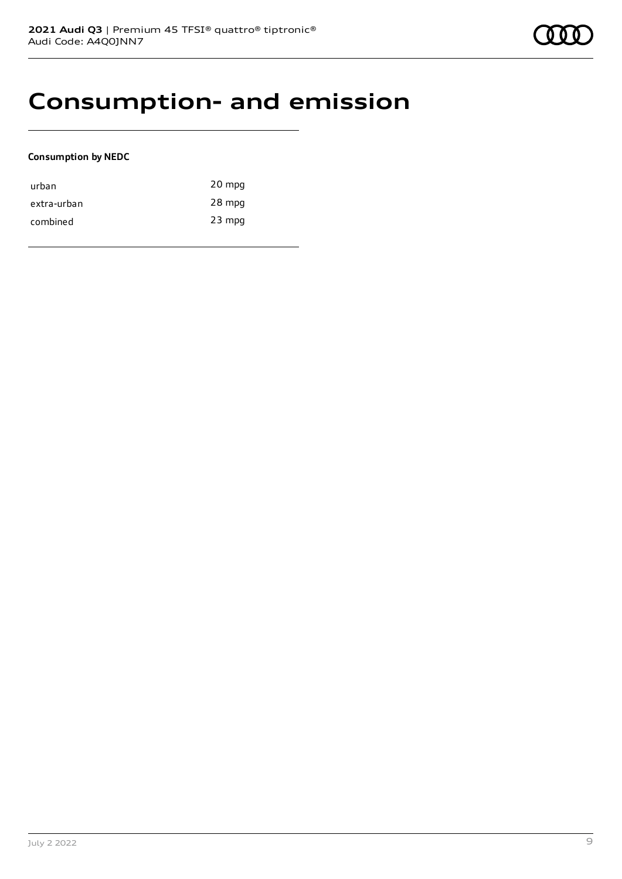### **Consumption- and emission**

### **Consumption by NEDC**

| urban       | 20 mpg   |
|-------------|----------|
| extra-urban | 28 mpg   |
| combined    | $23$ mpg |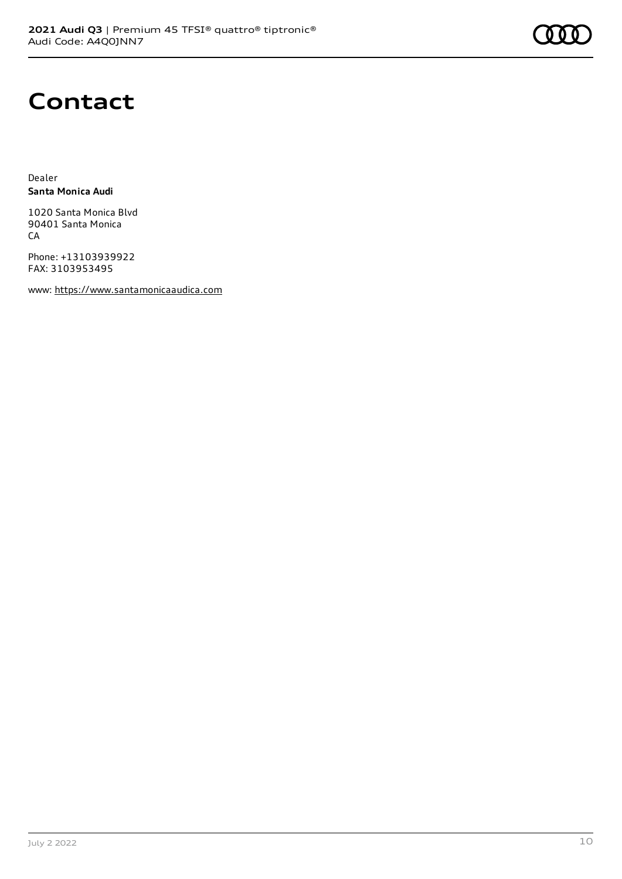

### **Contact**

Dealer **Santa Monica Audi**

1020 Santa Monica Blvd 90401 Santa Monica **CA** 

Phone: +13103939922 FAX: 3103953495

www: [https://www.santamonicaaudica.com](https://www.santamonicaaudica.com/)